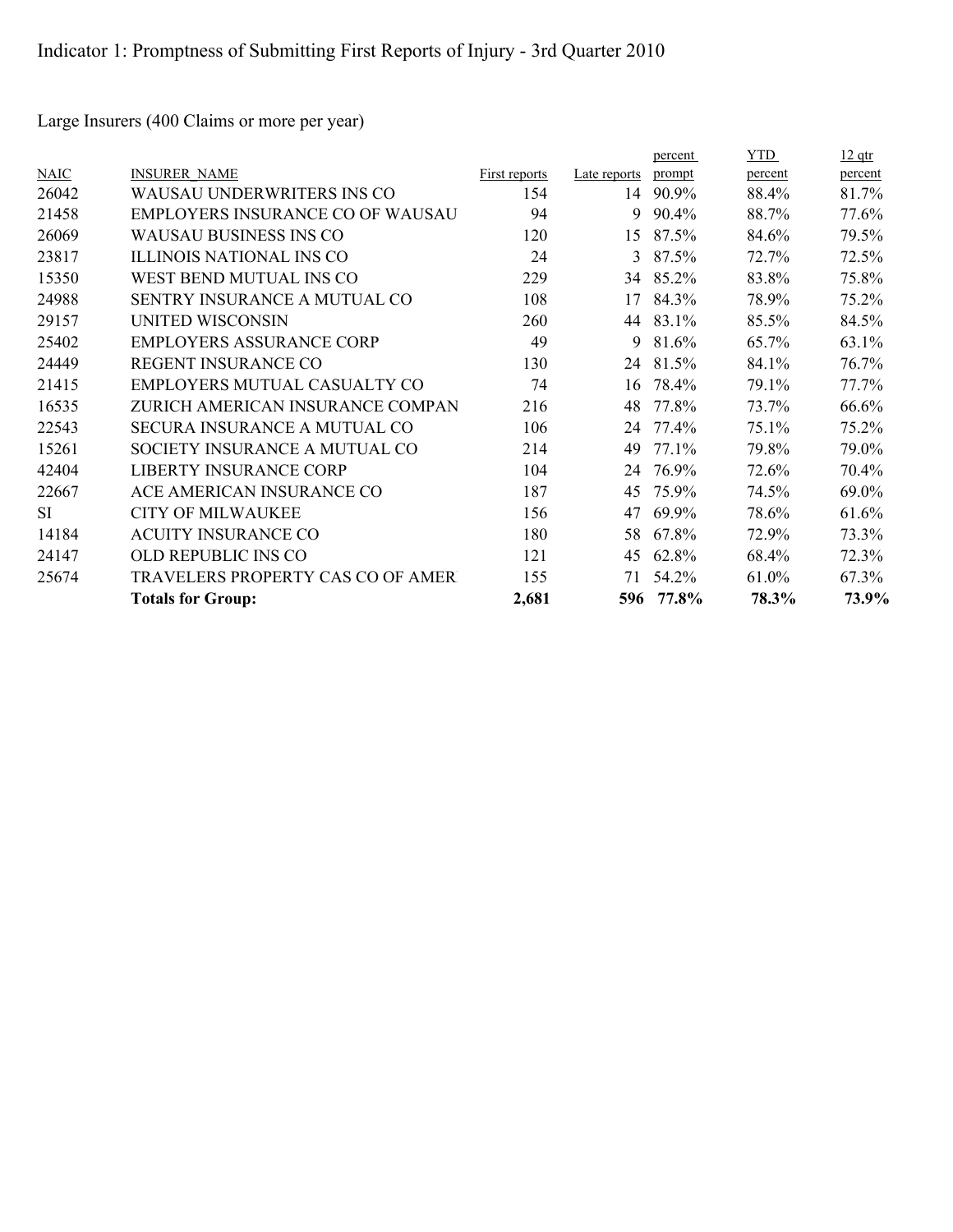Large Insurers (400 Claims or more per year)

|             |                                         |               |              | percent | <b>YTD</b> | <u>12 qtr</u> |
|-------------|-----------------------------------------|---------------|--------------|---------|------------|---------------|
| <b>NAIC</b> | <b>INSURER NAME</b>                     | First reports | Late reports | prompt  | percent    | percent       |
| 26042       | WAUSAU UNDERWRITERS INS CO              | 154           | 14           | 90.9%   | 88.4%      | 81.7%         |
| 21458       | <b>EMPLOYERS INSURANCE CO OF WAUSAU</b> | 94            | 9            | 90.4%   | 88.7%      | 77.6%         |
| 26069       | <b>WAUSAU BUSINESS INS CO</b>           | 120           | 15           | 87.5%   | 84.6%      | 79.5%         |
| 23817       | ILLINOIS NATIONAL INS CO                | 24            | 3            | 87.5%   | 72.7%      | 72.5%         |
| 15350       | WEST BEND MUTUAL INS CO                 | 229           | 34           | 85.2%   | 83.8%      | 75.8%         |
| 24988       | SENTRY INSURANCE A MUTUAL CO            | 108           | 17           | 84.3%   | 78.9%      | 75.2%         |
| 29157       | UNITED WISCONSIN                        | 260           | 44           | 83.1%   | 85.5%      | 84.5%         |
| 25402       | <b>EMPLOYERS ASSURANCE CORP</b>         | 49            | 9            | 81.6%   | 65.7%      | 63.1%         |
| 24449       | REGENT INSURANCE CO                     | 130           | 24           | 81.5%   | 84.1%      | 76.7%         |
| 21415       | EMPLOYERS MUTUAL CASUALTY CO            | 74            | 16           | 78.4%   | 79.1%      | 77.7%         |
| 16535       | ZURICH AMERICAN INSURANCE COMPAN        | 216           | 48           | 77.8%   | 73.7%      | 66.6%         |
| 22543       | SECURA INSURANCE A MUTUAL CO            | 106           | 24           | 77.4%   | 75.1%      | 75.2%         |
| 15261       | SOCIETY INSURANCE A MUTUAL CO           | 214           | 49           | 77.1%   | 79.8%      | 79.0%         |
| 42404       | <b>LIBERTY INSURANCE CORP</b>           | 104           | 24           | 76.9%   | 72.6%      | 70.4%         |
| 22667       | ACE AMERICAN INSURANCE CO               | 187           | 45           | 75.9%   | 74.5%      | 69.0%         |
| <b>SI</b>   | <b>CITY OF MILWAUKEE</b>                | 156           | 47           | 69.9%   | 78.6%      | 61.6%         |
| 14184       | <b>ACUITY INSURANCE CO</b>              | 180           | 58           | 67.8%   | 72.9%      | 73.3%         |
| 24147       | OLD REPUBLIC INS CO                     | 121           | 45           | 62.8%   | 68.4%      | 72.3%         |
| 25674       | TRAVELERS PROPERTY CAS CO OF AMERT      | 155           | 71           | 54.2%   | 61.0%      | 67.3%         |
|             | <b>Totals for Group:</b>                | 2,681         | 596          | 77.8%   | 78.3%      | 73.9%         |
|             |                                         |               |              |         |            |               |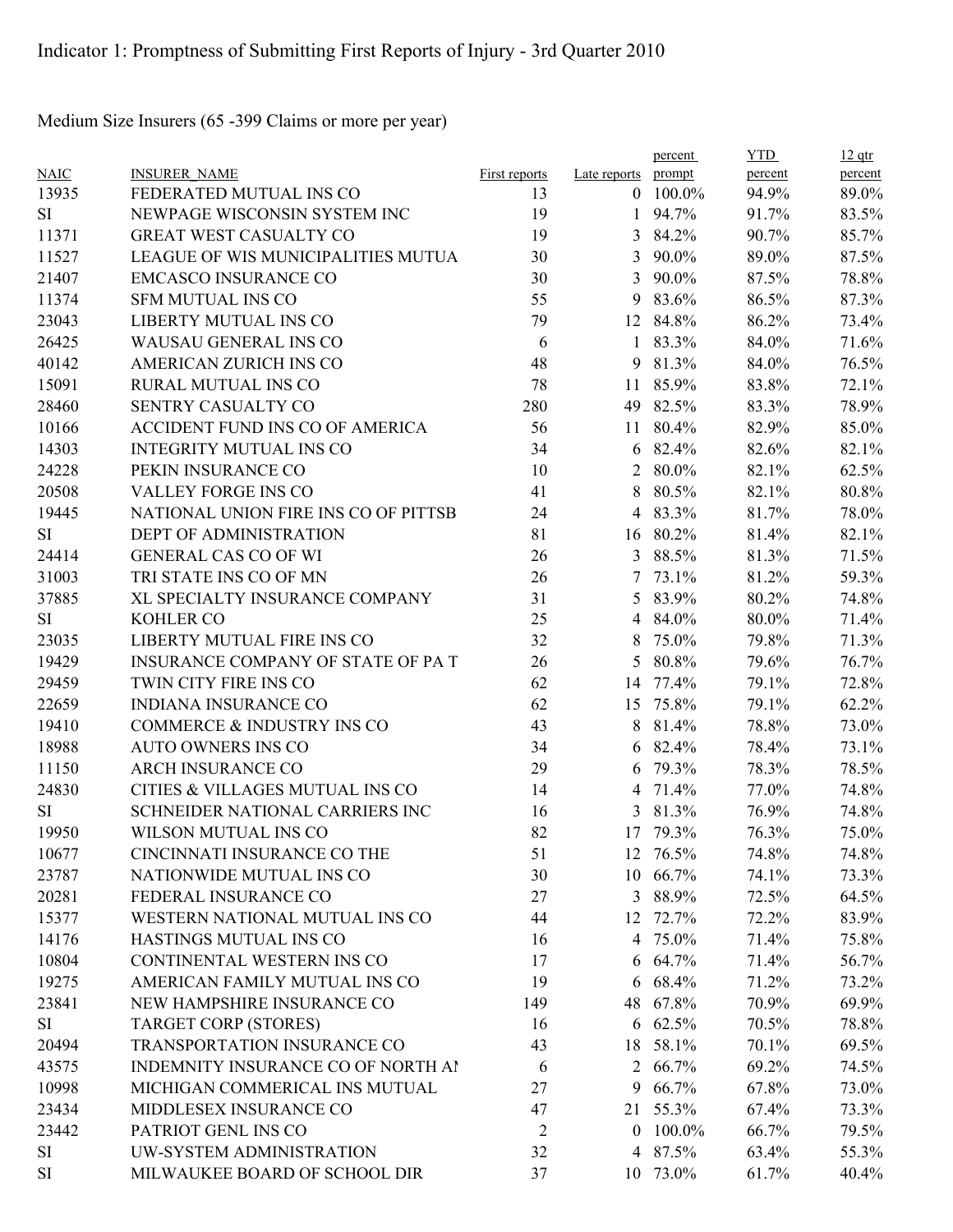Medium Size Insurers (65 -399 Claims or more per year)

|             |                                           |                      |                | percent         | <b>YTD</b> | $12$ qtr       |
|-------------|-------------------------------------------|----------------------|----------------|-----------------|------------|----------------|
| <b>NAIC</b> | <b>INSURER NAME</b>                       | <b>First reports</b> | Late reports   | prompt          | percent    | percent        |
| 13935       | FEDERATED MUTUAL INS CO                   | 13                   | $\theta$       | 100.0%          | 94.9%      | 89.0%          |
| SI          | NEWPAGE WISCONSIN SYSTEM INC              | 19                   | 1              | 94.7%           | 91.7%      | 83.5%          |
| 11371       | <b>GREAT WEST CASUALTY CO</b>             | 19                   | 3              | 84.2%           | 90.7%      | 85.7%          |
| 11527       | LEAGUE OF WIS MUNICIPALITIES MUTUA        | 30                   | 3              | 90.0%           | 89.0%      | 87.5%          |
| 21407       | <b>EMCASCO INSURANCE CO</b>               | 30                   | $\overline{3}$ | 90.0%           | 87.5%      | 78.8%          |
| 11374       | <b>SFM MUTUAL INS CO</b>                  | 55                   | 9              | 83.6%           | 86.5%      | 87.3%          |
| 23043       | LIBERTY MUTUAL INS CO                     | 79                   | 12             | 84.8%           | 86.2%      | 73.4%          |
| 26425       | WAUSAU GENERAL INS CO                     | 6                    | $\mathbf{1}$   | 83.3%           | 84.0%      | 71.6%          |
| 40142       | <b>AMERICAN ZURICH INS CO</b>             | 48                   | 9              | 81.3%           | 84.0%      | 76.5%          |
| 15091       | <b>RURAL MUTUAL INS CO</b>                | 78                   | 11             | 85.9%           | 83.8%      | 72.1%          |
| 28460       | SENTRY CASUALTY CO                        | 280                  | 49             | 82.5%           | 83.3%      | 78.9%          |
| 10166       | ACCIDENT FUND INS CO OF AMERICA           | 56                   | 11             | 80.4%           | 82.9%      | 85.0%          |
| 14303       | <b>INTEGRITY MUTUAL INS CO</b>            | 34                   | 6              | 82.4%           | 82.6%      | 82.1%          |
| 24228       | PEKIN INSURANCE CO                        | 10                   | 2              | 80.0%           | 82.1%      | 62.5%          |
| 20508       | <b>VALLEY FORGE INS CO</b>                | 41                   | 8              | 80.5%           | 82.1%      | 80.8%          |
| 19445       | NATIONAL UNION FIRE INS CO OF PITTSB      | 24                   | $\overline{4}$ | 83.3%           | 81.7%      | 78.0%          |
| SI          | <b>DEPT OF ADMINISTRATION</b>             | 81                   |                | 16 80.2%        | 81.4%      | 82.1%          |
| 24414       | <b>GENERAL CAS CO OF WI</b>               | 26                   | $\mathfrak{Z}$ | 88.5%           | 81.3%      | 71.5%          |
| 31003       | TRI STATE INS CO OF MN                    | 26                   | 7              | 73.1%           | 81.2%      | 59.3%          |
| 37885       | XL SPECIALTY INSURANCE COMPANY            | 31                   | 5              | 83.9%           | 80.2%      | 74.8%          |
| SI          | <b>KOHLER CO</b>                          | 25                   | 4              | 84.0%           | 80.0%      | 71.4%          |
| 23035       | LIBERTY MUTUAL FIRE INS CO                | 32                   | 8              | 75.0%           | 79.8%      | 71.3%          |
| 19429       | <b>INSURANCE COMPANY OF STATE OF PA T</b> | 26                   | 5              | 80.8%           | 79.6%      | 76.7%          |
| 29459       | TWIN CITY FIRE INS CO                     | 62                   | 14             | 77.4%           | 79.1%      | 72.8%          |
| 22659       | <b>INDIANA INSURANCE CO</b>               | 62                   | 15             | 75.8%           | 79.1%      | 62.2%          |
| 19410       | COMMERCE & INDUSTRY INS CO                | 43                   | 8              | 81.4%           | 78.8%      | 73.0%          |
| 18988       | <b>AUTO OWNERS INS CO</b>                 | 34                   | 6              | 82.4%           | 78.4%      | 73.1%          |
| 11150       | <b>ARCH INSURANCE CO</b>                  | 29                   | 6              | 79.3%           | 78.3%      | 78.5%          |
| 24830       | CITIES & VILLAGES MUTUAL INS CO           | 14                   | 4              | 71.4%           | 77.0%      | 74.8%          |
| SI          | SCHNEIDER NATIONAL CARRIERS INC           | 16                   | 3              | 81.3%           | 76.9%      | 74.8%          |
| 19950       | WILSON MUTUAL INS CO                      | 82                   |                | 17 79.3%        | 76.3%      | 75.0%          |
| 10677       | CINCINNATI INSURANCE CO THE               | 51                   |                | 12 76.5%        | 74.8%      | 74.8%          |
| 23787       | NATIONWIDE MUTUAL INS CO                  | 30                   |                | 10 66.7%        | 74.1%      | 73.3%          |
| 20281       | FEDERAL INSURANCE CO                      | 27                   | 3              | 88.9%           | 72.5%      | 64.5%          |
| 15377       | WESTERN NATIONAL MUTUAL INS CO            | 44                   |                | 12 72.7%        | 72.2%      | 83.9%          |
| 14176       | HASTINGS MUTUAL INS CO                    | 16                   |                | 4 75.0%         | 71.4%      | 75.8%          |
| 10804       | CONTINENTAL WESTERN INS CO                | 17                   |                | $6\quad 64.7\%$ | 71.4%      | 56.7%          |
| 19275       | AMERICAN FAMILY MUTUAL INS CO             | 19                   | 6              | 68.4%           | 71.2%      | 73.2%          |
| 23841       | NEW HAMPSHIRE INSURANCE CO                | 149                  |                | 48 67.8%        | 70.9%      | 69.9%          |
| SI          | <b>TARGET CORP (STORES)</b>               |                      |                | 6 62.5%         | 70.5%      |                |
|             | TRANSPORTATION INSURANCE CO               | 16<br>43             |                |                 |            | 78.8%<br>69.5% |
| 20494       |                                           |                      |                | 18 58.1%        | 70.1%      |                |
| 43575       | INDEMNITY INSURANCE CO OF NORTH AI        | 6                    |                | 2 66.7%         | 69.2%      | 74.5%          |
| 10998       | MICHIGAN COMMERICAL INS MUTUAL            | 27                   | 9              | 66.7%           | 67.8%      | 73.0%          |
| 23434       | MIDDLESEX INSURANCE CO                    | 47                   |                | 21 55.3%        | 67.4%      | 73.3%          |
| 23442       | PATRIOT GENL INS CO                       | $\overline{c}$       | $\theta$       | 100.0%          | 66.7%      | 79.5%          |
| SI          | UW-SYSTEM ADMINISTRATION                  | 32                   |                | 4 87.5%         | 63.4%      | 55.3%          |
| SI          | MILWAUKEE BOARD OF SCHOOL DIR             | 37                   |                | 10 73.0%        | 61.7%      | 40.4%          |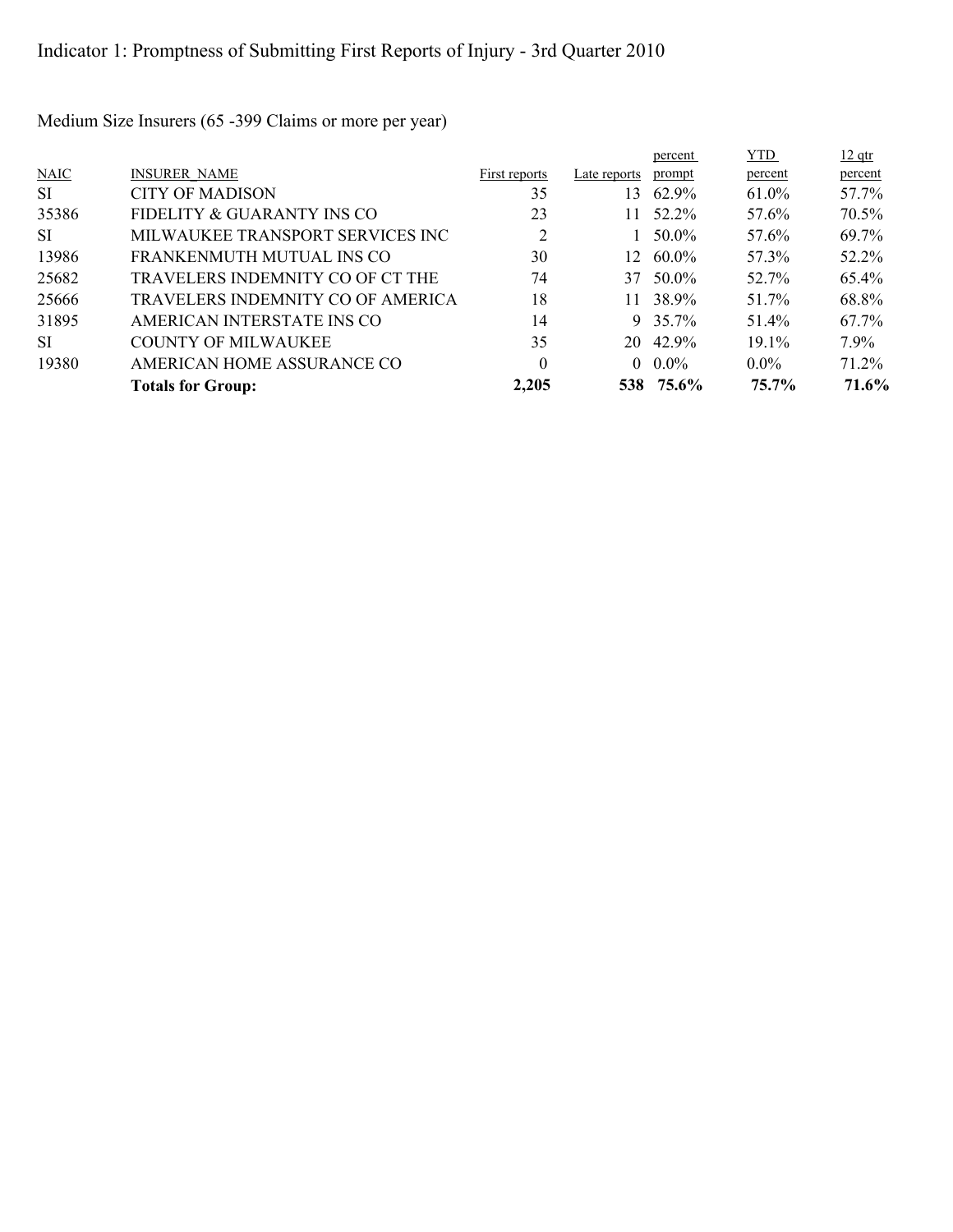$12$  qtr percent YTD percent percent NAIC INSURER\_NAME First reports Late reports prompt SI CITY OF MADISON 35 13 62.9% 61.0% 57.7% 35386 FIDELITY & GUARANTY INS CO 23 11 52.2% 57.6% 70.5% SI MILWAUKEE TRANSPORT SERVICES INC  $2$  1 50.0% 57.6% 69.7% 13986 FRANKENMUTH MUTUAL INS CO 30 12 60.0% 57.3% 52.2% 25682 TRAVELERS INDEMNITY CO OF CT THE 74 37 50.0% 52.7% 65.4% 25666 TRAVELERS INDEMNITY CO OF AMERICA 18 11 38.9% 51.7% 68.8% 31895 AMERICAN INTERSTATE INS CO 14 9 35.7% 51.4% 67.7% SI COUNTY OF MILWAUKEE 35 20 42.9% 19.1% 7.9% 19380 AMERICAN HOME ASSURANCE CO 0 0.0% 0.0% 71.2% **Totals for Group: 2,205 538 75.6% 75.7% 71.6%**

Medium Size Insurers (65 -399 Claims or more per year)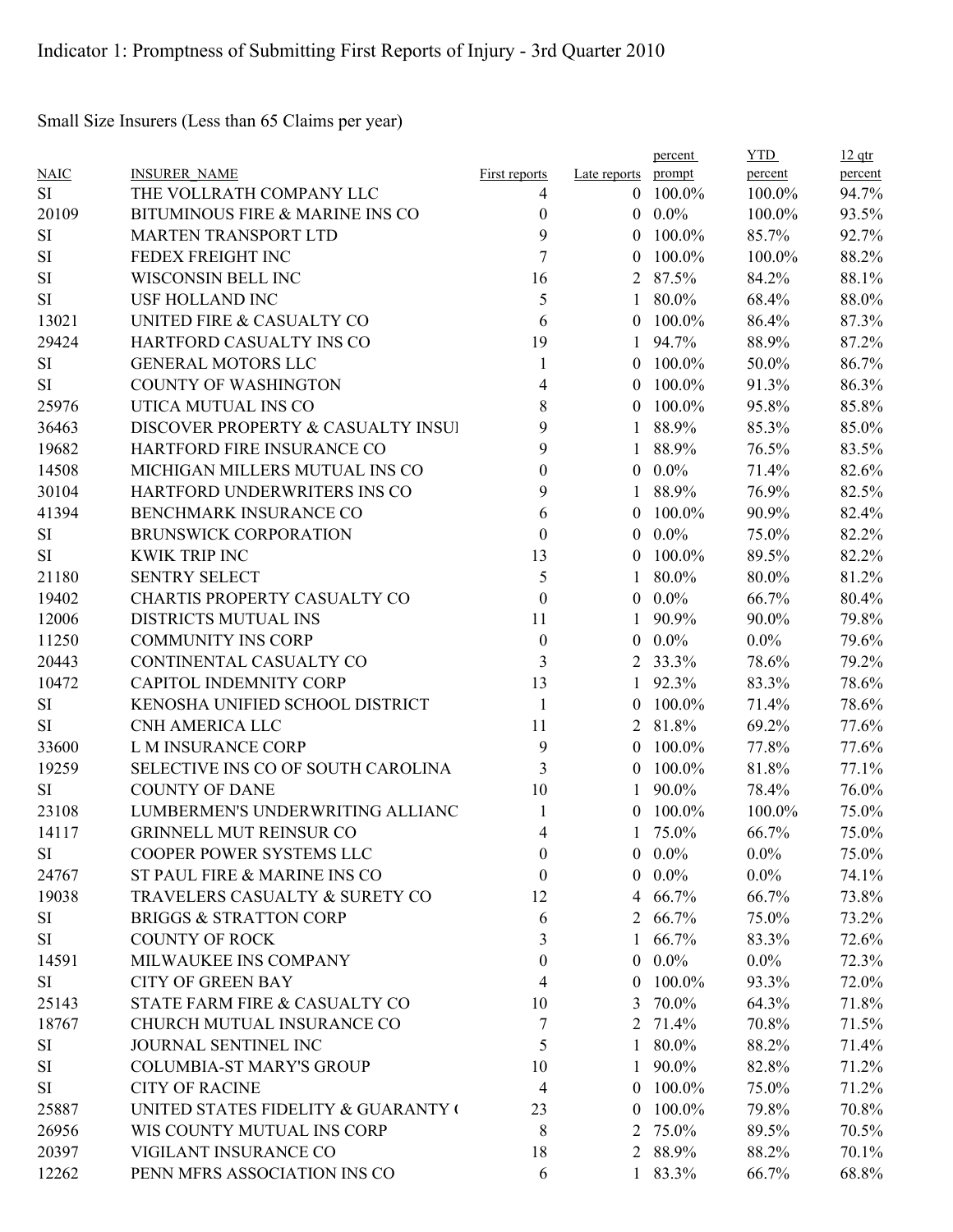Small Size Insurers (Less than 65 Claims per year)

|             |                                     |                      |                     | percent    | <b>YTD</b> | $12$ qtr |
|-------------|-------------------------------------|----------------------|---------------------|------------|------------|----------|
| <b>NAIC</b> | <b>INSURER NAME</b>                 | <b>First reports</b> | Late reports prompt |            | percent    | percent  |
| SI          | THE VOLLRATH COMPANY LLC            | 4                    | $\theta$            | 100.0%     | 100.0%     | 94.7%    |
| 20109       | BITUMINOUS FIRE & MARINE INS CO     | $\boldsymbol{0}$     | $\Omega$            | $0.0\%$    | 100.0%     | 93.5%    |
| <b>SI</b>   | <b>MARTEN TRANSPORT LTD</b>         | 9                    | $\theta$            | 100.0%     | 85.7%      | 92.7%    |
| SI          | FEDEX FREIGHT INC                   | 7                    | $\theta$            | 100.0%     | 100.0%     | 88.2%    |
| <b>SI</b>   | WISCONSIN BELL INC                  | 16                   | 2                   | 87.5%      | 84.2%      | 88.1%    |
| <b>SI</b>   | <b>USF HOLLAND INC</b>              | 5                    | 1                   | 80.0%      | 68.4%      | 88.0%    |
| 13021       | UNITED FIRE & CASUALTY CO           | 6                    | $\theta$            | 100.0%     | 86.4%      | 87.3%    |
| 29424       | HARTFORD CASUALTY INS CO            | 19                   | 1                   | 94.7%      | 88.9%      | 87.2%    |
| <b>SI</b>   | <b>GENERAL MOTORS LLC</b>           | 1                    | $\theta$            | 100.0%     | 50.0%      | 86.7%    |
| <b>SI</b>   | <b>COUNTY OF WASHINGTON</b>         | 4                    | $\theta$            | 100.0%     | 91.3%      | 86.3%    |
| 25976       | UTICA MUTUAL INS CO                 | 8                    | $\theta$            | 100.0%     | 95.8%      | 85.8%    |
| 36463       | DISCOVER PROPERTY & CASUALTY INSUI  | 9                    | 1                   | 88.9%      | 85.3%      | 85.0%    |
| 19682       | HARTFORD FIRE INSURANCE CO          | 9                    |                     | 88.9%      | 76.5%      | 83.5%    |
| 14508       | MICHIGAN MILLERS MUTUAL INS CO      | 0                    | $\overline{0}$      | $0.0\%$    | 71.4%      | 82.6%    |
| 30104       | HARTFORD UNDERWRITERS INS CO        | 9                    | 1                   | 88.9%      | 76.9%      | 82.5%    |
| 41394       | BENCHMARK INSURANCE CO              | 6                    | $\theta$            | 100.0%     | 90.9%      | 82.4%    |
| SI          | <b>BRUNSWICK CORPORATION</b>        | $\theta$             | $\theta$            | $0.0\%$    | 75.0%      | 82.2%    |
| <b>SI</b>   | <b>KWIK TRIP INC</b>                | 13                   | $\theta$            | 100.0%     | 89.5%      | 82.2%    |
| 21180       | <b>SENTRY SELECT</b>                | 5                    | 1                   | 80.0%      | 80.0%      | 81.2%    |
| 19402       | CHARTIS PROPERTY CASUALTY CO        | $\boldsymbol{0}$     | $\theta$            | $0.0\%$    | 66.7%      | 80.4%    |
| 12006       | DISTRICTS MUTUAL INS                | 11                   |                     | 90.9%      | 90.0%      | 79.8%    |
| 11250       | <b>COMMUNITY INS CORP</b>           | $\boldsymbol{0}$     | $\theta$            | $0.0\%$    | $0.0\%$    | 79.6%    |
| 20443       | CONTINENTAL CASUALTY CO             | 3                    | 2                   | 33.3%      | 78.6%      | 79.2%    |
| 10472       | <b>CAPITOL INDEMNITY CORP</b>       | 13                   | 1                   | 92.3%      | 83.3%      | 78.6%    |
| <b>SI</b>   | KENOSHA UNIFIED SCHOOL DISTRICT     | 1                    | $\theta$            | 100.0%     | 71.4%      | 78.6%    |
| <b>SI</b>   | CNH AMERICA LLC                     | 11                   | 2                   | 81.8%      | 69.2%      | 77.6%    |
| 33600       | L M INSURANCE CORP                  | 9                    | $\theta$            | 100.0%     | 77.8%      | 77.6%    |
| 19259       | SELECTIVE INS CO OF SOUTH CAROLINA  | 3                    | $\overline{0}$      | 100.0%     | 81.8%      | 77.1%    |
| <b>SI</b>   | <b>COUNTY OF DANE</b>               | 10                   | 1                   | 90.0%      | 78.4%      | 76.0%    |
| 23108       | LUMBERMEN'S UNDERWRITING ALLIANC    | 1                    | $\theta$            | 100.0%     | 100.0%     | 75.0%    |
| 14117       | <b>GRINNELL MUT REINSUR CO</b>      | 4                    |                     | 75.0%      | 66.7%      | 75.0%    |
| <b>SI</b>   | COOPER POWER SYSTEMS LLC            | $\boldsymbol{0}$     |                     | $0.0\%$    | $0.0\%$    | 75.0%    |
| 24767       | ST PAUL FIRE & MARINE INS CO        | $\boldsymbol{0}$     | $\overline{0}$      | $0.0\%$    | $0.0\%$    | 74.1%    |
| 19038       | TRAVELERS CASUALTY & SURETY CO      | 12                   | $\overline{4}$      | 66.7%      | 66.7%      | 73.8%    |
| <b>SI</b>   | <b>BRIGGS &amp; STRATTON CORP</b>   | 6                    |                     | 2 66.7%    | 75.0%      | 73.2%    |
| SI          | <b>COUNTY OF ROCK</b>               | 3                    | 1                   | 66.7%      | 83.3%      | 72.6%    |
| 14591       | MILWAUKEE INS COMPANY               | $\boldsymbol{0}$     | $\overline{0}$      | $0.0\%$    | $0.0\%$    | 72.3%    |
| SI          | <b>CITY OF GREEN BAY</b>            | 4                    | $\overline{0}$      | 100.0%     | 93.3%      | 72.0%    |
| 25143       | STATE FARM FIRE & CASUALTY CO       | 10                   | 3                   | 70.0%      | 64.3%      | 71.8%    |
| 18767       | CHURCH MUTUAL INSURANCE CO          | 7                    |                     | 2 71.4%    | 70.8%      |          |
|             | JOURNAL SENTINEL INC                |                      |                     |            | 88.2%      | 71.5%    |
| SI          |                                     | 5                    | 1.                  | 80.0%      |            | 71.4%    |
| <b>SI</b>   | <b>COLUMBIA-ST MARY'S GROUP</b>     | 10                   | $\mathbf{1}$        | 90.0%      | 82.8%      | 71.2%    |
| SI          | <b>CITY OF RACINE</b>               | $\overline{4}$       |                     | $0$ 100.0% | 75.0%      | 71.2%    |
| 25887       | UNITED STATES FIDELITY & GUARANTY ( | 23                   | $\Omega$            | 100.0%     | 79.8%      | 70.8%    |
| 26956       | WIS COUNTY MUTUAL INS CORP          | 8                    | 2                   | 75.0%      | 89.5%      | 70.5%    |
| 20397       | VIGILANT INSURANCE CO               | 18                   |                     | 2 88.9%    | 88.2%      | 70.1%    |
| 12262       | PENN MFRS ASSOCIATION INS CO        | 6                    |                     | 1 83.3%    | 66.7%      | 68.8%    |